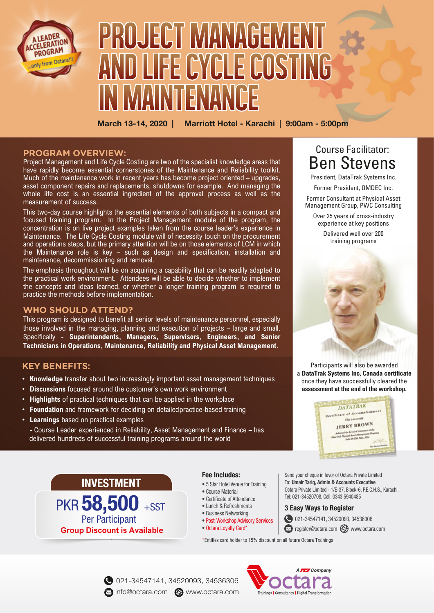

# PROJECT MANAGEMENT AND LIFE CYCLE COSTING IN MAINHENANCE

March 13-14, 2020 | Marriott Hotel - Karachi | 9:00am - 5:00pm

#### **PROGRAM OVERVIEW:**

Project Management and Life Cycle Costing are two of the specialist knowledge areas that have rapidly become essential cornerstones of the Maintenance and Reliability toolkit. Much of the maintenance work in recent years has become project oriented – upgrades, asset component repairs and replacements, shutdowns for example. And managing the whole life cost is an essential ingredient of the approval process as well as the measurement of success.

This two-day course highlights the essential elements of both subjects in a compact and focused training program. In the Project Management module of the program, the concentration is on live project examples taken from the course leader's experience in Maintenance. The Life Cycle Costing module will of necessity touch on the procurement and operations steps, but the primary attention will be on those elements of LCM in which the Maintenance role is key – such as design and specification, installation and maintenance, decommissioning and removal.

The emphasis throughout will be on acquiring a capability that can be readily adapted to the practical work environment. Attendees will be able to decide whether to implement the concepts and ideas learned, or whether a longer training program is required to practice the methods before implementation.

#### **WHO SHOULD ATTEND?**

This program is designed to benefit all senior levels of maintenance personnel, especially those involved in the managing, planning and execution of projects – large and small. Specifically - **Superintendents, Managers, Supervisors, Engineers, and Senior Technicians in Operations, Maintenance, Reliability and Physical Asset Management.**

#### **KEY BENEFITS:**

- **Knowledge** transfer about two increasingly important asset management techniques
- **Discussions** focused around the customer's own work environment
- **Highlights** of practical techniques that can be applied in the workplace
- **Foundation** and framework for deciding on detailed practice-based training
- **Learnings** based on practical examples

 - Course Leader experienced in Reliability, Asset Management and Finance – has delivered hundreds of successful training programs around the world

# **INVESTMENT**

**Group Discount is Available** PKR 58,500 +SST Per Participant

#### **Fee Includes:**

- 5 Star Hotel Venue for Training
- Course Material
- Certificate of Attendance • Lunch & Refreshments
- Business Networking
- Post-Workshop Advisory Services
- Octara Loyalty Card\*

# Course Facilitator: Ben Stevens

President, DataTrak Systems Inc. Former President, OMDEC Inc.

Former Consultant at Physical Asset Management Group, PWC Consulting

Over 25 years of cross-industry experience at key positions

> Delivered well over 200 training programs



Participants will also be awarded a **DataTrak Systems Inc, Canada certificate** once they have successfully cleared the **assessment at the end of the workshop.**



Send your cheque in favor of Octara Private Limited To: Umair Tariq, Admin & Accounts Executive Octara Private Limited - 1/E-37, Block-6, P.E.C.H.S., Karachi. Tel: 021-34520708, Cell: 0343 5940485

#### **3 Easy Ways to Register**

- 021-34547141, 34520093, 34536306
- corregister@octara.com com www.octara.com

\*Entitles card holder to 15% discount on all future Octara Trainings